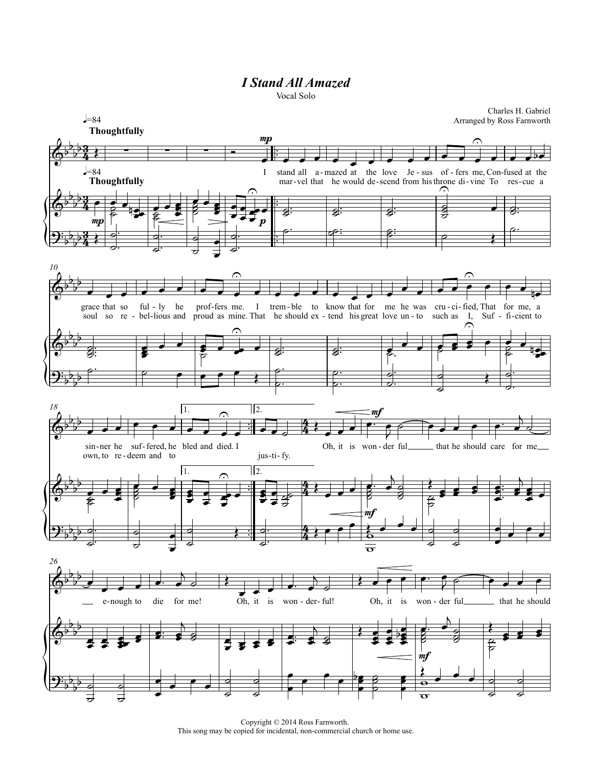## *I Stand All Amazed*

Vocal Solo



Copyright © 2014 Ross Farnworth. This song may be copied for incidental, non-commercial church or home use.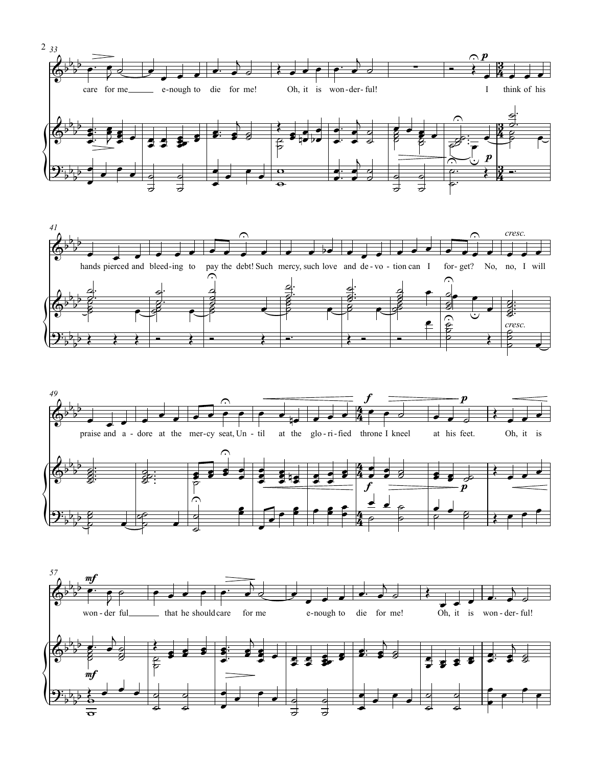